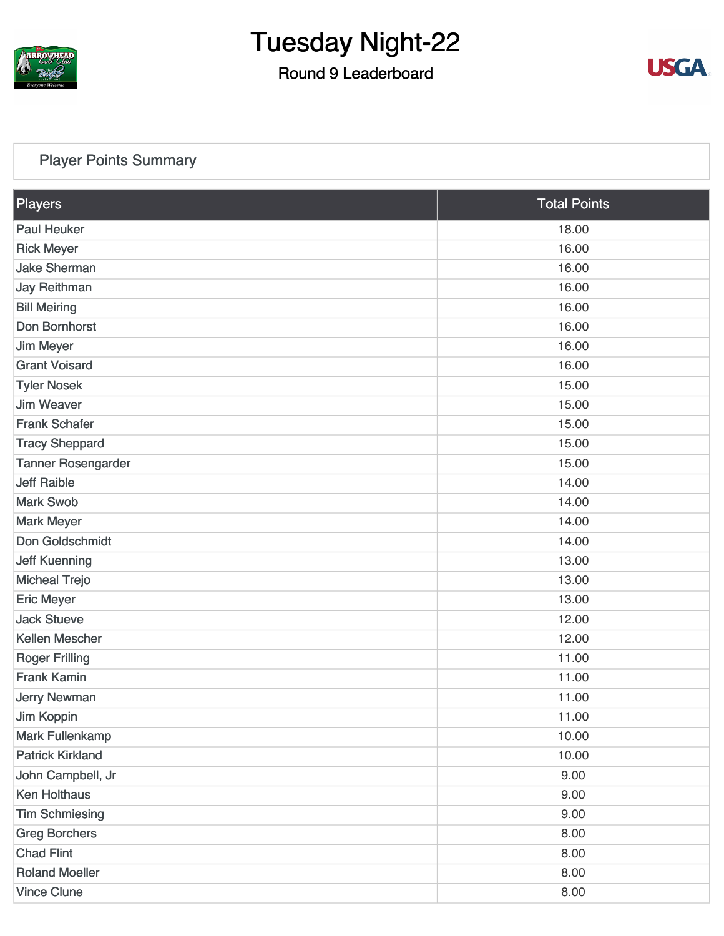

### Round 9 Leaderboard



#### [Player Points Summary](https://static.golfgenius.com/v2tournaments/total_points?league_id=8105993687684621485&round_id=8105995557102691557)

| Players                   | <b>Total Points</b> |  |
|---------------------------|---------------------|--|
| <b>Paul Heuker</b>        | 18.00               |  |
| <b>Rick Meyer</b>         | 16.00               |  |
| <b>Jake Sherman</b>       | 16.00               |  |
| <b>Jay Reithman</b>       | 16.00               |  |
| <b>Bill Meiring</b>       | 16.00               |  |
| Don Bornhorst             | 16.00               |  |
| <b>Jim Meyer</b>          | 16.00               |  |
| <b>Grant Voisard</b>      | 16.00               |  |
| <b>Tyler Nosek</b>        | 15.00               |  |
| <b>Jim Weaver</b>         | 15.00               |  |
| <b>Frank Schafer</b>      | 15.00               |  |
| <b>Tracy Sheppard</b>     | 15.00               |  |
| <b>Tanner Rosengarder</b> | 15.00               |  |
| <b>Jeff Raible</b>        | 14.00               |  |
| <b>Mark Swob</b>          | 14.00               |  |
| <b>Mark Meyer</b>         | 14.00               |  |
| Don Goldschmidt           | 14.00               |  |
| <b>Jeff Kuenning</b>      | 13.00               |  |
| <b>Micheal Trejo</b>      | 13.00               |  |
| <b>Eric Meyer</b>         | 13.00               |  |
| <b>Jack Stueve</b>        | 12.00               |  |
| Kellen Mescher            | 12.00               |  |
| <b>Roger Frilling</b>     | 11.00               |  |
| <b>Frank Kamin</b>        | 11.00               |  |
| <b>Jerry Newman</b>       | 11.00               |  |
| Jim Koppin                | 11.00               |  |
| <b>Mark Fullenkamp</b>    | 10.00               |  |
| <b>Patrick Kirkland</b>   | 10.00               |  |
| John Campbell, Jr         | 9.00                |  |
| <b>Ken Holthaus</b>       | 9.00                |  |
| <b>Tim Schmiesing</b>     | 9.00                |  |
| <b>Greg Borchers</b>      | 8.00                |  |
| <b>Chad Flint</b>         | 8.00                |  |
| <b>Roland Moeller</b>     | 8.00                |  |
| <b>Vince Clune</b>        | 8.00                |  |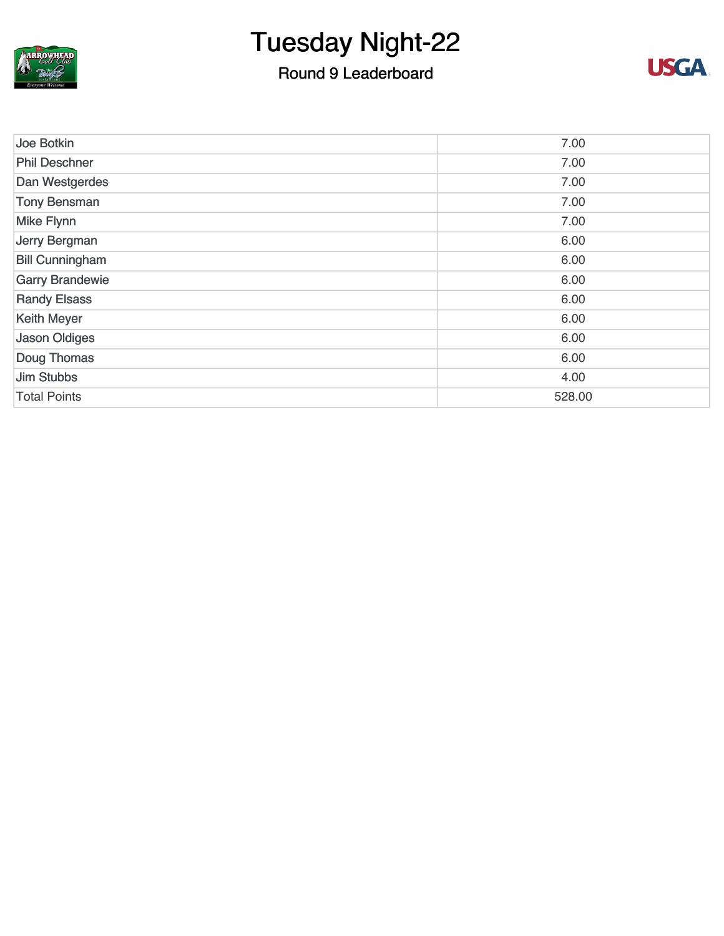

### Round 9 Leaderboard



| Joe Botkin             | 7.00   |
|------------------------|--------|
| <b>Phil Deschner</b>   | 7.00   |
| Dan Westgerdes         | 7.00   |
| <b>Tony Bensman</b>    | 7.00   |
| <b>Mike Flynn</b>      | 7.00   |
| Jerry Bergman          | 6.00   |
| <b>Bill Cunningham</b> | 6.00   |
| <b>Garry Brandewie</b> | 6.00   |
| <b>Randy Elsass</b>    | 6.00   |
| <b>Keith Meyer</b>     | 6.00   |
| <b>Jason Oldiges</b>   | 6.00   |
| Doug Thomas            | 6.00   |
| <b>Jim Stubbs</b>      | 4.00   |
| <b>Total Points</b>    | 528.00 |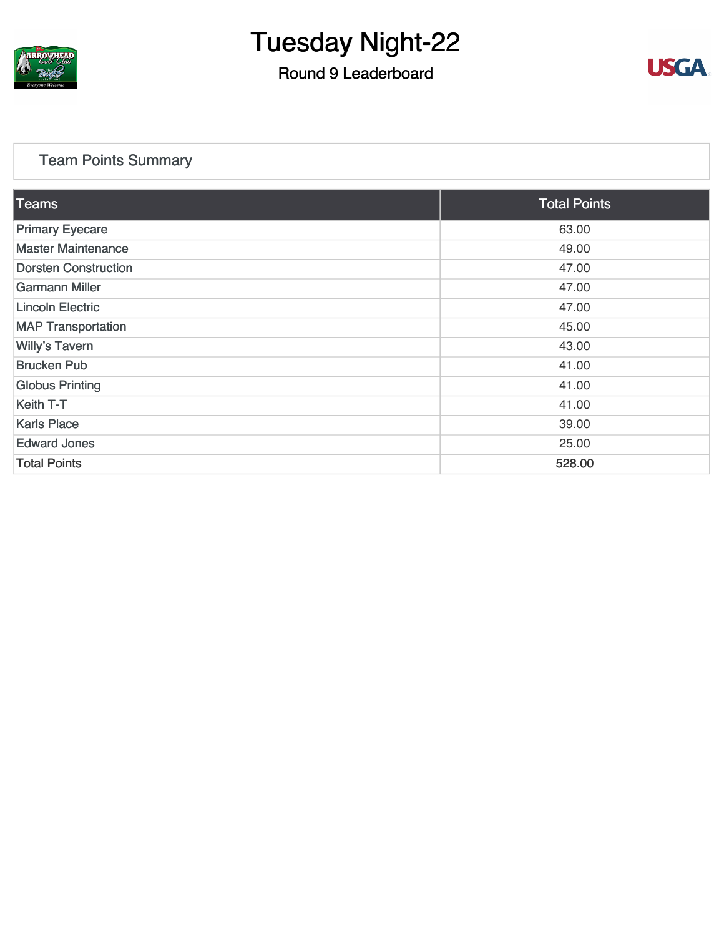

### Round 9 Leaderboard



#### [Team Points Summary](https://static.golfgenius.com/v2tournaments/team_points?league_id=8105993687684621485&round_id=8105995557102691557)

| $\overline{\text{Teams}}$   | <b>Total Points</b> |
|-----------------------------|---------------------|
| <b>Primary Eyecare</b>      | 63.00               |
| <b>Master Maintenance</b>   | 49.00               |
| <b>Dorsten Construction</b> | 47.00               |
| Garmann Miller              | 47.00               |
| <b>Lincoln Electric</b>     | 47.00               |
| <b>MAP Transportation</b>   | 45.00               |
| <b>Willy's Tavern</b>       | 43.00               |
| <b>Brucken Pub</b>          | 41.00               |
| <b>Globus Printing</b>      | 41.00               |
| Keith T-T                   | 41.00               |
| <b>Karls Place</b>          | 39.00               |
| <b>Edward Jones</b>         | 25.00               |
| <b>Total Points</b>         | 528.00              |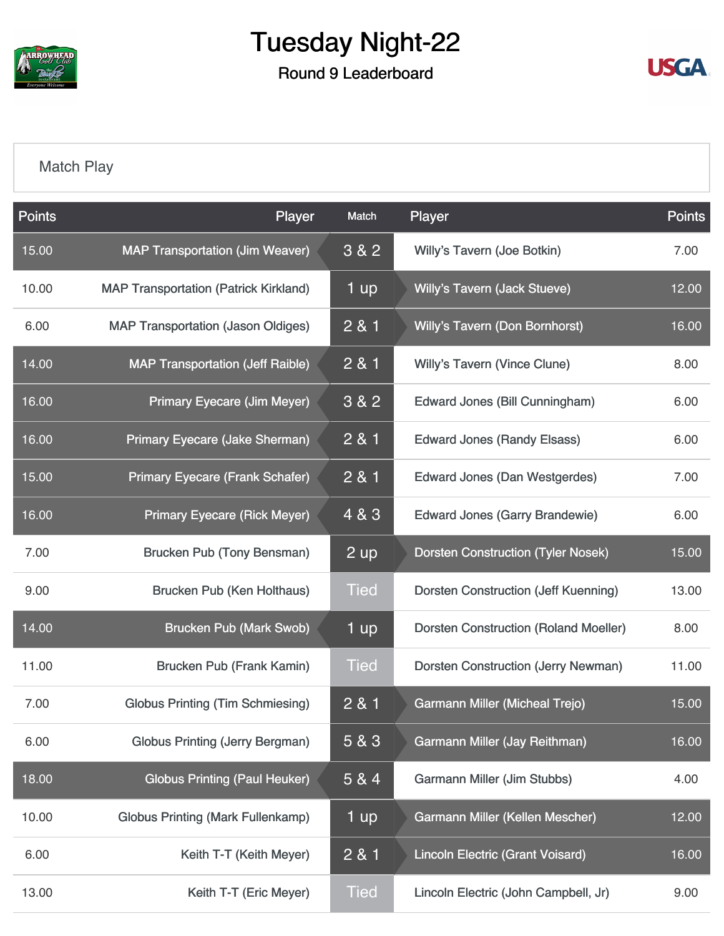

Round 9 Leaderboard



#### [Match Play](https://static.golfgenius.com/v2tournaments/8105996254934213840?called_from=&round_index=9)

| <b>Points</b> | Player                                       | Match       | Player                                       | <b>Points</b> |
|---------------|----------------------------------------------|-------------|----------------------------------------------|---------------|
| 15.00         | <b>MAP Transportation (Jim Weaver)</b>       | 3&82        | Willy's Tavern (Joe Botkin)                  | 7.00          |
| 10.00         | <b>MAP Transportation (Patrick Kirkland)</b> | 1 up        | Willy's Tavern (Jack Stueve)                 | 12.00         |
| 6.00          | <b>MAP Transportation (Jason Oldiges)</b>    | 2 & 1       | <b>Willy's Tavern (Don Bornhorst)</b>        | 16.00         |
| 14.00         | <b>MAP Transportation (Jeff Raible)</b>      | 2 & 1       | <b>Willy's Tavern (Vince Clune)</b>          | 8.00          |
| 16.00         | <b>Primary Eyecare (Jim Meyer)</b>           | 3&82        | <b>Edward Jones (Bill Cunningham)</b>        | 6.00          |
| 16.00         | Primary Eyecare (Jake Sherman)               | 2 & 1       | <b>Edward Jones (Randy Elsass)</b>           | 6.00          |
| 15.00         | <b>Primary Eyecare (Frank Schafer)</b>       | 2 & 1       | <b>Edward Jones (Dan Westgerdes)</b>         | 7.00          |
| 16.00         | <b>Primary Eyecare (Rick Meyer)</b>          | 4 & 3       | <b>Edward Jones (Garry Brandewie)</b>        | 6.00          |
| 7.00          | Brucken Pub (Tony Bensman)                   | 2 up        | <b>Dorsten Construction (Tyler Nosek)</b>    | 15.00         |
| 9.00          | Brucken Pub (Ken Holthaus)                   | <b>Tied</b> | Dorsten Construction (Jeff Kuenning)         | 13.00         |
| 14.00         | <b>Brucken Pub (Mark Swob)</b>               | 1 up        | <b>Dorsten Construction (Roland Moeller)</b> | 8.00          |
| 11.00         | Brucken Pub (Frank Kamin)                    | <b>Tied</b> | <b>Dorsten Construction (Jerry Newman)</b>   | 11.00         |
| 7.00          | <b>Globus Printing (Tim Schmiesing)</b>      | 2 & 1       | <b>Garmann Miller (Micheal Trejo)</b>        | 15.00         |
| 6.00          | <b>Globus Printing (Jerry Bergman)</b>       | 5 & 3       | <b>Garmann Miller (Jay Reithman)</b>         | 16.00         |
| 18.00         | <b>Globus Printing (Paul Heuker)</b>         | 5 & 4       | Garmann Miller (Jim Stubbs)                  | 4.00          |
| 10.00         | <b>Globus Printing (Mark Fullenkamp)</b>     | 1 up        | Garmann Miller (Kellen Mescher)              | 12.00         |
| 6.00          | Keith T-T (Keith Meyer)                      | 2 & 1       | <b>Lincoln Electric (Grant Voisard)</b>      | 16.00         |
| 13.00         | Keith T-T (Eric Meyer)                       | <b>Tied</b> | Lincoln Electric (John Campbell, Jr)         | 9.00          |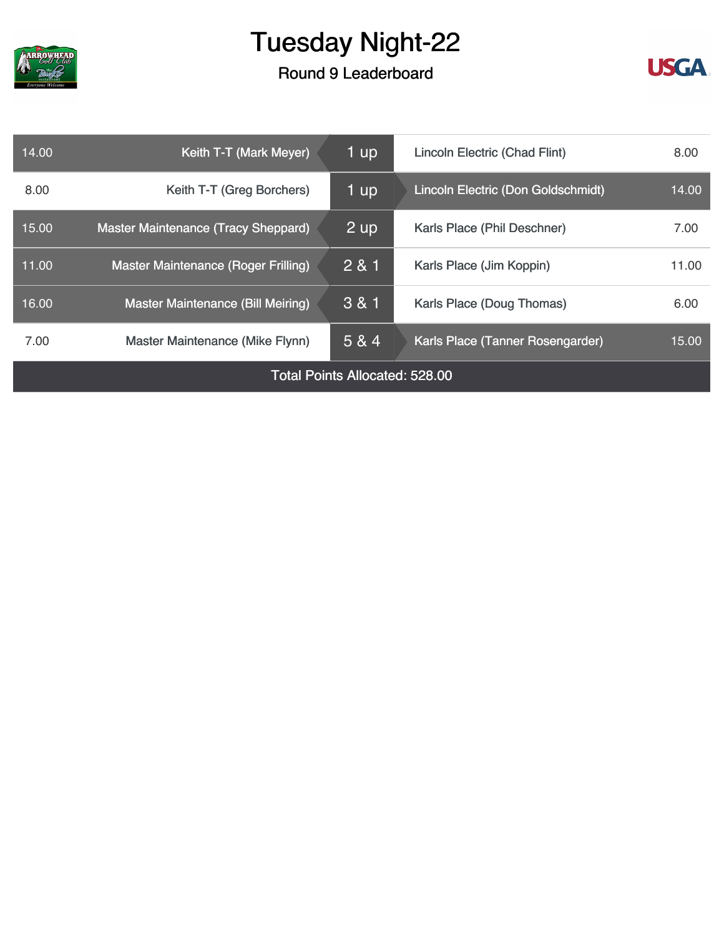

### Round 9 Leaderboard



| 14.00                                 | Keith T-T (Mark Meyer)                     | 1 up        | Lincoln Electric (Chad Flint)      | 8.00  |
|---------------------------------------|--------------------------------------------|-------------|------------------------------------|-------|
| 8.00                                  | Keith T-T (Greg Borchers)                  | 1 up        | Lincoln Electric (Don Goldschmidt) | 14.00 |
| 15.00                                 | <b>Master Maintenance (Tracy Sheppard)</b> | <u>2</u> up | Karls Place (Phil Deschner)        | 7.00  |
| 11.00                                 | Master Maintenance (Roger Frilling)        | 281         | Karls Place (Jim Koppin)           | 11.00 |
| 16.00                                 | <b>Master Maintenance (Bill Meiring)</b>   | 3 & 1       | Karls Place (Doug Thomas)          | 6.00  |
| 7.00                                  | Master Maintenance (Mike Flynn)            | 5 & 4       | Karls Place (Tanner Rosengarder)   | 15.00 |
| <b>Total Points Allocated: 528.00</b> |                                            |             |                                    |       |